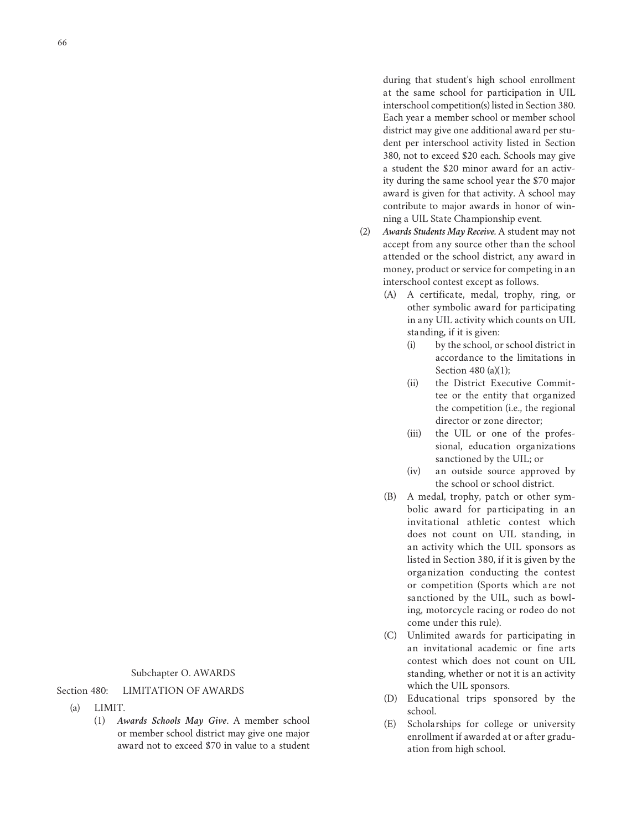during that student's high school enrollment at the same school for participation in UIL interschool competition(s) listed in Section 380. Each year a member school or member school district may give one additional award per student per interschool activity listed in Section 380, not to exceed \$20 each. Schools may give a student the \$20 minor award for an activity during the same school year the \$70 major award is given for that activity. A school may contribute to major awards in honor of winning a UIL State Championship event.

- (2) *Awards Students May Receive.* A student may not accept from any source other than the school attended or the school district, any award in money, product or service for competing in an interschool contest except as follows.
	- (A) A certificate, medal, trophy, ring, or other symbolic award for participating in any UIL activity which counts on UIL standing, if it is given:
		- (i) by the school, or school district in accordance to the limitations in Section 480 (a)(1);
		- (ii) the District Executive Committee or the entity that organized the competition (i.e., the regional director or zone director;
		- (iii) the UIL or one of the professional, education organizations sanctioned by the UIL; or
		- (iv) an outside source approved by the school or school district.
	- (B) A medal, trophy, patch or other symbolic award for participating in an invitational athletic contest which does not count on UIL standing, in an activity which the UIL sponsors as listed in Section 380, if it is given by the organization conducting the contest or competition (Sports which are not sanctioned by the UIL, such as bowling, motorcycle racing or rodeo do not come under this rule).
	- (C) Unlimited awards for participating in an invitational academic or fine arts contest which does not count on UIL standing, whether or not it is an activity which the UIL sponsors.
	- (D) Educational trips sponsored by the school.
	- (E) Scholarships for college or university enrollment if awarded at or after graduation from high school.

## Section 480: LIMITATION OF AWARDS

- (a) LIMIT.
	- (1) *Awards Schools May Give*. A member school or member school district may give one major award not to exceed \$70 in value to a student